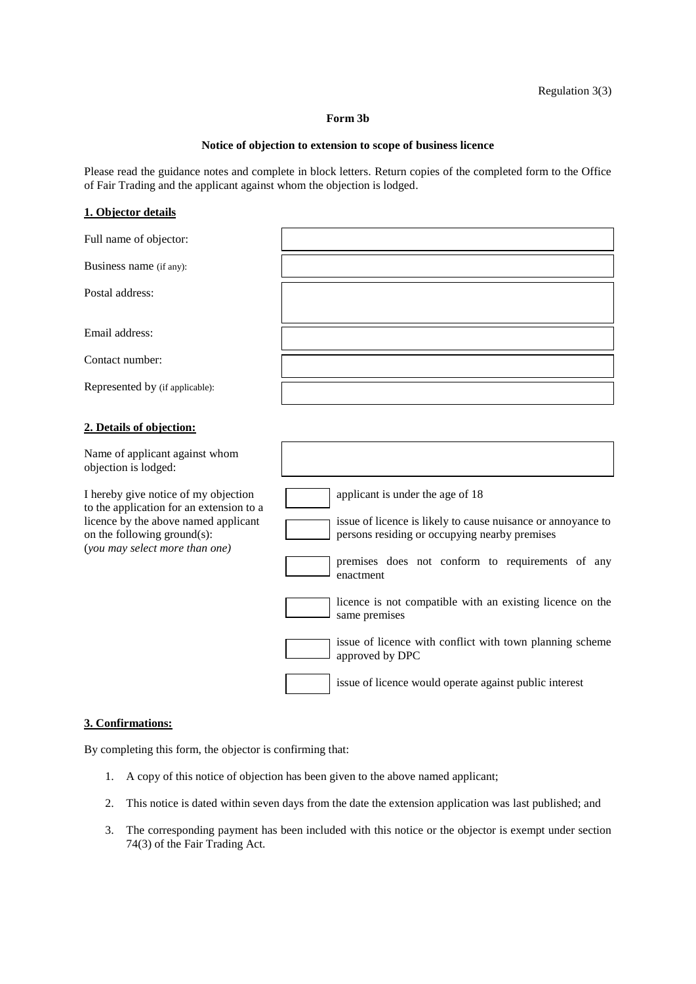#### **Form 3b**

#### **Notice of objection to extension to scope of business licence**

Please read the guidance notes and complete in block letters. Return copies of the completed form to the Office of Fair Trading and the applicant against whom the objection is lodged.

## **1. Objector details**

| Full name of objector:                                                                                                                                                                    |                                                                                                                                                                                                                                                                                                  |
|-------------------------------------------------------------------------------------------------------------------------------------------------------------------------------------------|--------------------------------------------------------------------------------------------------------------------------------------------------------------------------------------------------------------------------------------------------------------------------------------------------|
| Business name (if any):                                                                                                                                                                   |                                                                                                                                                                                                                                                                                                  |
| Postal address:                                                                                                                                                                           |                                                                                                                                                                                                                                                                                                  |
| Email address:                                                                                                                                                                            |                                                                                                                                                                                                                                                                                                  |
| Contact number:                                                                                                                                                                           |                                                                                                                                                                                                                                                                                                  |
| Represented by (if applicable):                                                                                                                                                           |                                                                                                                                                                                                                                                                                                  |
| 2. Details of objection:                                                                                                                                                                  |                                                                                                                                                                                                                                                                                                  |
| Name of applicant against whom<br>objection is lodged:                                                                                                                                    |                                                                                                                                                                                                                                                                                                  |
| I hereby give notice of my objection<br>to the application for an extension to a<br>licence by the above named applicant<br>on the following ground(s):<br>(you may select more than one) | applicant is under the age of 18<br>issue of licence is likely to cause nuisance or annoyance to<br>persons residing or occupying nearby premises<br>premises does not conform to requirements of any<br>enactment<br>licence is not compatible with an existing licence on the<br>same premises |
|                                                                                                                                                                                           | issue of licence with conflict with town planning scheme<br>approved by DPC<br>issue of licence would operate against public interest                                                                                                                                                            |

## **3. Confirmations:**

By completing this form, the objector is confirming that:

- 1. A copy of this notice of objection has been given to the above named applicant;
- 2. This notice is dated within seven days from the date the extension application was last published; and
- 3. The corresponding payment has been included with this notice or the objector is exempt under section 74(3) of the Fair Trading Act.